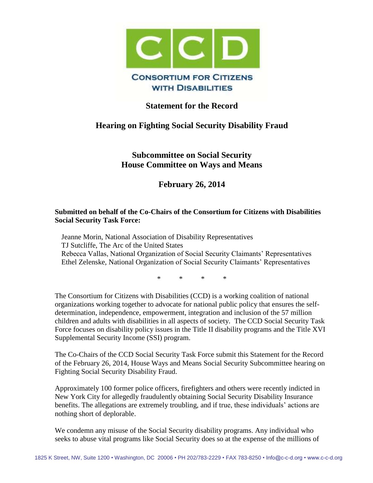

## **Statement for the Record**

# **Hearing on Fighting Social Security Disability Fraud**

**Subcommittee on Social Security House Committee on Ways and Means**

**February 26, 2014**

#### **Submitted on behalf of the Co-Chairs of the Consortium for Citizens with Disabilities Social Security Task Force:**

Jeanne Morin, National Association of Disability Representatives TJ Sutcliffe, The Arc of the United States Rebecca Vallas, National Organization of Social Security Claimants' Representatives Ethel Zelenske, National Organization of Social Security Claimants' Representatives

\* \* \* \*

The Consortium for Citizens with Disabilities (CCD) is a working coalition of national organizations working together to advocate for national public policy that ensures the selfdetermination, independence, empowerment, integration and inclusion of the 57 million children and adults with disabilities in all aspects of society. The CCD Social Security Task Force focuses on disability policy issues in the Title II disability programs and the Title XVI Supplemental Security Income (SSI) program.

The Co-Chairs of the CCD Social Security Task Force submit this Statement for the Record of the February 26, 2014, House Ways and Means Social Security Subcommittee hearing on Fighting Social Security Disability Fraud.

Approximately 100 former police officers, firefighters and others were recently indicted in New York City for allegedly fraudulently obtaining Social Security Disability Insurance benefits. The allegations are extremely troubling, and if true, these individuals' actions are nothing short of deplorable.

We condemn any misuse of the Social Security disability programs. Any individual who seeks to abuse vital programs like Social Security does so at the expense of the millions of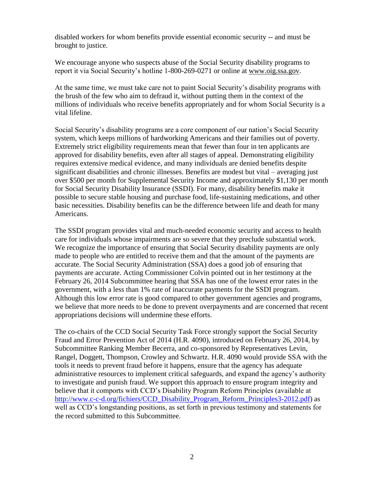disabled workers for whom benefits provide essential economic security -- and must be brought to justice.

We encourage anyone who suspects abuse of the Social Security disability programs to report it via Social Security's hotline 1-800-269-0271 or online at [www.oig.ssa.gov.](http://www.oig.ssa.gov/)

At the same time, we must take care not to paint Social Security's disability programs with the brush of the few who aim to defraud it, without putting them in the context of the millions of individuals who receive benefits appropriately and for whom Social Security is a vital lifeline.

Social Security's disability programs are a core component of our nation's Social Security system, which keeps millions of hardworking Americans and their families out of poverty. Extremely strict eligibility requirements mean that fewer than four in ten applicants are approved for disability benefits, even after all stages of appeal. Demonstrating eligibility requires extensive medical evidence, and many individuals are denied benefits despite significant disabilities and chronic illnesses. Benefits are modest but vital – averaging just over \$500 per month for Supplemental Security Income and approximately \$1,130 per month for Social Security Disability Insurance (SSDI). For many, disability benefits make it possible to secure stable housing and purchase food, life-sustaining medications, and other basic necessities. Disability benefits can be the difference between life and death for many Americans.

The SSDI program provides vital and much-needed economic security and access to health care for individuals whose impairments are so severe that they preclude substantial work. We recognize the importance of ensuring that Social Security disability payments are only made to people who are entitled to receive them and that the amount of the payments are accurate. The Social Security Administration (SSA) does a good job of ensuring that payments are accurate. Acting Commissioner Colvin pointed out in her testimony at the February 26, 2014 Subcommittee hearing that SSA has one of the lowest error rates in the government, with a less than 1% rate of inaccurate payments for the SSDI program. Although this low error rate is good compared to other government agencies and programs, we believe that more needs to be done to prevent overpayments and are concerned that recent appropriations decisions will undermine these efforts.

The co-chairs of the CCD Social Security Task Force strongly support the Social Security Fraud and Error Prevention Act of 2014 (H.R. 4090), introduced on February 26, 2014, by Subcommittee Ranking Member Becerra, and co-sponsored by Representatives Levin, Rangel, Doggett, Thompson, Crowley and Schwartz. H.R. 4090 would provide SSA with the tools it needs to prevent fraud before it happens, ensure that the agency has adequate administrative resources to implement critical safeguards, and expand the agency's authority to investigate and punish fraud. We support this approach to ensure program integrity and believe that it comports with CCD's Disability Program Reform Principles (available at [http://www.c-c-d.org/fichiers/CCD\\_Disability\\_Program\\_Reform\\_Principles3-2012.pdf\)](http://www.c-c-d.org/fichiers/CCD_Disability_Program_Reform_Principles3-2012.pdf) as well as CCD's longstanding positions, as set forth in previous testimony and statements for the record submitted to this Subcommittee.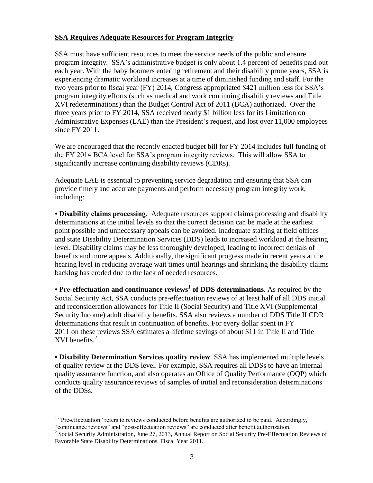### **SSA Requires Adequate Resources for Program Integrity**

SSA must have sufficient resources to meet the service needs of the public and ensure program integrity. SSA's administrative budget is only about 1.4 percent of benefits paid out each year. With the baby boomers entering retirement and their disability prone years, SSA is experiencing dramatic workload increases at a time of diminished funding and staff. For the two years prior to fiscal year (FY) 2014, Congress appropriated \$421 million less for SSA's program integrity efforts (such as medical and work continuing disability reviews and Title XVI redeterminations) than the Budget Control Act of 2011 (BCA) authorized. Over the three years prior to FY 2014, SSA received nearly \$1 billion less for its Limitation on Administrative Expenses (LAE) than the President's request, and lost over 11,000 employees since FY 2011.

We are encouraged that the recently enacted budget bill for FY 2014 includes full funding of the FY 2014 BCA level for SSA's program integrity reviews. This will allow SSA to significantly increase continuing disability reviews (CDRs).

Adequate LAE is essential to preventing service degradation and ensuring that SSA can provide timely and accurate payments and perform necessary program integrity work, including:

**• Disability claims processing.** Adequate resources support claims processing and disability determinations at the initial levels so that the correct decision can be made at the earliest point possible and unnecessary appeals can be avoided. Inadequate staffing at field offices and state Disability Determination Services (DDS) leads to increased workload at the hearing level. Disability claims may be less thoroughly developed, leading to incorrect denials of benefits and more appeals. Additionally, the significant progress made in recent years at the hearing level in reducing average wait times until hearings and shrinking the disability claims backlog has eroded due to the lack of needed resources.

**• Pre-effectuation and continuance reviews<sup>1</sup> of DDS determinations**. As required by the Social Security Act, SSA conducts pre-effectuation reviews of at least half of all DDS initial and reconsideration allowances for Title II (Social Security) and Title XVI (Supplemental Security Income) adult disability benefits. SSA also reviews a number of DDS Title II CDR determinations that result in continuation of benefits. For every dollar spent in FY 2011 on these reviews SSA estimates a lifetime savings of about \$11 in Title II and Title  $XVI$  benefits.<sup>2</sup>

**• Disability Determination Services quality review**. SSA has implemented multiple levels of quality review at the DDS level. For example, SSA requires all DDSs to have an internal quality assurance function, and also operates an Office of Quality Performance (OQP) which conducts quality assurance reviews of samples of initial and reconsideration determinations of the DDSs.

 $\overline{a}$ 

 $<sup>1</sup>$  "Pre-effectuation" refers to reviews conducted before benefits are authorized to be paid. Accordingly,</sup> "continuance reviews" and "post-effectuation reviews" are conducted after benefit authorization.

<sup>&</sup>lt;sup>2</sup> Social Security Administration, June 27, 2013, Annual Report on Social Security Pre-Effectuation Reviews of Favorable State Disability Determinations, Fiscal Year 2011.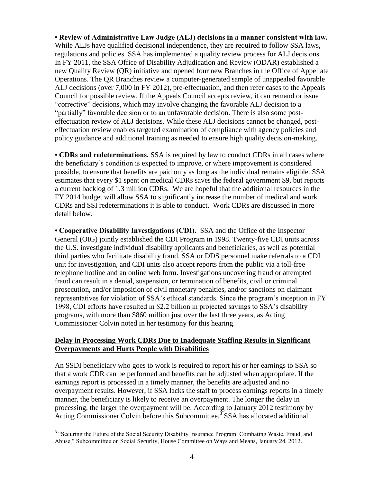**• Review of Administrative Law Judge (ALJ) decisions in a manner consistent with law.** While ALJs have qualified decisional independence, they are required to follow SSA laws, regulations and policies. SSA has implemented a quality review process for ALJ decisions. In FY 2011, the SSA Office of Disability Adjudication and Review (ODAR) established a new Quality Review (QR) initiative and opened four new Branches in the Office of Appellate Operations. The QR Branches review a computer-generated sample of unappealed favorable ALJ decisions (over 7,000 in FY 2012), pre-effectuation, and then refer cases to the Appeals Council for possible review. If the Appeals Council accepts review, it can remand or issue "corrective" decisions, which may involve changing the favorable ALJ decision to a "partially" favorable decision or to an unfavorable decision. There is also some posteffectuation review of ALJ decisions. While these ALJ decisions cannot be changed, posteffectuation review enables targeted examination of compliance with agency policies and policy guidance and additional training as needed to ensure high quality decision-making.

**• CDRs and redeterminations.** SSA is required by law to conduct CDRs in all cases where the beneficiary's condition is expected to improve, or where improvement is considered possible, to ensure that benefits are paid only as long as the individual remains eligible. SSA estimates that every \$1 spent on medical CDRs saves the federal government \$9, but reports a current backlog of 1.3 million CDRs. We are hopeful that the additional resources in the FY 2014 budget will allow SSA to significantly increase the number of medical and work CDRs and SSI redeterminations it is able to conduct. Work CDRs are discussed in more detail below.

**• Cooperative Disability Investigations (CDI).** SSA and the Office of the Inspector General (OIG) jointly established the CDI Program in 1998. Twenty-five CDI units across the U.S. investigate individual disability applicants and beneficiaries, as well as potential third parties who facilitate disability fraud. SSA or DDS personnel make referrals to a CDI unit for investigation, and CDI units also accept reports from the public via a toll-free telephone hotline and an online web form. Investigations uncovering fraud or attempted fraud can result in a denial, suspension, or termination of benefits, civil or criminal prosecution, and/or imposition of civil monetary penalties, and/or sanctions on claimant representatives for violation of SSA's ethical standards. Since the program's inception in FY 1998, CDI efforts have resulted in \$2.2 billion in projected savings to SSA's disability programs, with more than \$860 million just over the last three years, as Acting Commissioner Colvin noted in her testimony for this hearing.

#### **Delay in Processing Work CDRs Due to Inadequate Staffing Results in Significant Overpayments and Hurts People with Disabilities**

An SSDI beneficiary who goes to work is required to report his or her earnings to SSA so that a work CDR can be performed and benefits can be adjusted when appropriate. If the earnings report is processed in a timely manner, the benefits are adjusted and no overpayment results. However, if SSA lacks the staff to process earnings reports in a timely manner, the beneficiary is likely to receive an overpayment. The longer the delay in processing, the larger the overpayment will be. According to January 2012 testimony by Acting Commissioner Colvin before this Subcommittee,<sup>3</sup> SSA has allocated additional

 $\overline{a}$ <sup>3</sup> "Securing the Future of the Social Security Disability Insurance Program: Combating Waste, Fraud, and Abuse," Subcommittee on Social Security, House Committee on Ways and Means, January 24, 2012.